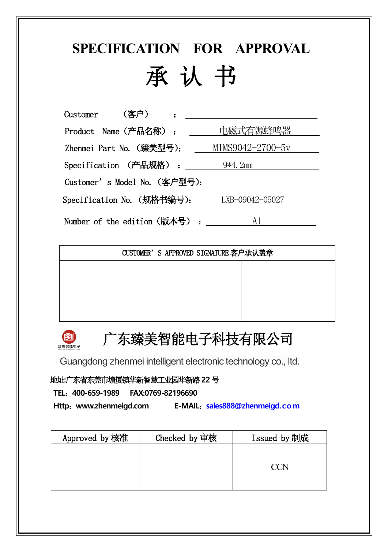# **SPECIFICATION FOR APPROVAL** 承 认 书

Customer (客户) : \_\_\_\_\_\_ Product Name (产品名称): \_\_\_\_\_ 电磁式有源蜂鸣器 Zhenmei Part No. (臻美型号): \_\_\_ MIMS9042-2700-5v Specification (产品规格) : 9\*4.2mm Customer's Model No.(客户型号): Specification No. (规格书编号): LXB-09042-05027 Number of the edition  $(版$ 本号) :  $A1$ 

| CUSTOMER'S APPROVED SIGNATURE 客户承认盖章 |  |
|--------------------------------------|--|
|                                      |  |
|                                      |  |
|                                      |  |
|                                      |  |



## 广东臻美智能电子科技有限公司

Guangdong zhenmei intelligent electronic technology co., ltd.

地址**:**广东省东莞市塘厦镇华新智慧工业园华新路**22** 号

**TEL**:**400-659-1989 FAX:0769-82196690**

**Http**:**www.zhenmeigd.com E-MAIL**:**[sales888@zhenmeigd.com](mailto:sales888@zhenmeigd.com)**

| Approved by 核准 | Checked by 审核 | Issued by 制成 |
|----------------|---------------|--------------|
|                |               |              |
|                |               | $\Lambda$    |
|                |               |              |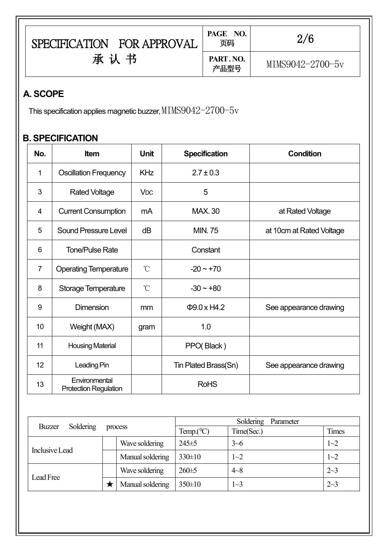| <b>SPECIFICATION</b><br><b>FOR APPROVAL</b> | NO.<br>PAGE<br>页码 | 2/6              |  |
|---------------------------------------------|-------------------|------------------|--|
| 书<br>承认                                     | PART. NO.<br>产品型号 | MIMS9042-2700-5v |  |

#### **A. SCOPE**

This specification applies magnetic buzzer,  $\texttt{MIMS9042=}\textcolor{red}{2700} \text{--} 5\textcolor{red}{\rm v}$ 

### **B. SPECIFICATION**

| No.            | <b>Item</b>                                   | <b>Unit</b>           | <b>Specification</b> | <b>Condition</b>         |
|----------------|-----------------------------------------------|-----------------------|----------------------|--------------------------|
| $\mathbf{1}$   | <b>Oscillation Frequency</b>                  | <b>KHz</b>            | $2.7 \pm 0.3$        |                          |
| 3              | <b>Rated Voltage</b>                          | <b>V<sub>DC</sub></b> | 5                    |                          |
| 4              | <b>Current Consumption</b>                    | mA                    | <b>MAX. 30</b>       | at Rated Voltage         |
| 5              | <b>Sound Pressure Level</b>                   | dB                    | <b>MIN.75</b>        | at 10cm at Rated Voltage |
| $6\phantom{1}$ | <b>Tone/Pulse Rate</b>                        |                       | Constant             |                          |
| $\overline{7}$ | <b>Operating Temperature</b>                  | $\mathrm{C}^{\circ}$  | $-20 - +70$          |                          |
| 8              | <b>Storage Temperature</b>                    | $\rm ^{\circ}C$       | $-30 - +80$          |                          |
| 9              | <b>Dimension</b>                              | mm                    | $\Phi$ 9.0 x H4.2    | See appearance drawing   |
| 10             | Weight (MAX)                                  | gram                  | 1.0                  |                          |
| 11             | <b>Housing Material</b>                       |                       | PPO(Black)           |                          |
| 12             | Leading Pin                                   |                       | Tin Plated Brass(Sn) | See appearance drawing   |
| 13             | Environmental<br><b>Protection Regulation</b> |                       | <b>RoHS</b>          |                          |

|                       |           |                  |               | Soldering Parameter |         |
|-----------------------|-----------|------------------|---------------|---------------------|---------|
| Buzzer                | Soldering | process          | Temp. $(^0C)$ | Time(Sec.)          | Times   |
| <b>Inclusive Lead</b> |           | Wave soldering   | $245 \pm 5$   | $3 - 6$             | $1 - 2$ |
|                       |           | Manual soldering | $330 \pm 10$  | $1 - 2$             | $1 - 2$ |
|                       |           | Wave soldering   | $260 \pm 5$   | $4 - 8$             | $2 - 3$ |
| Lead Free             |           | Manual soldering | $350 \pm 10$  | $1 - 3$             | $2 - 3$ |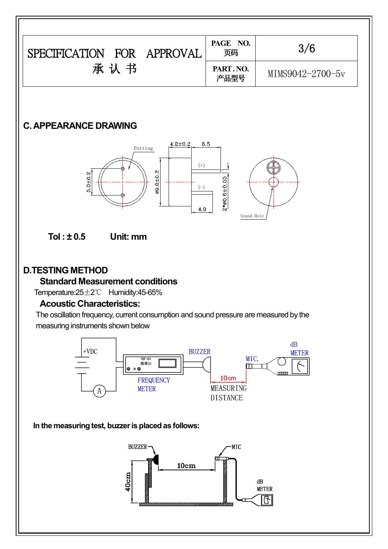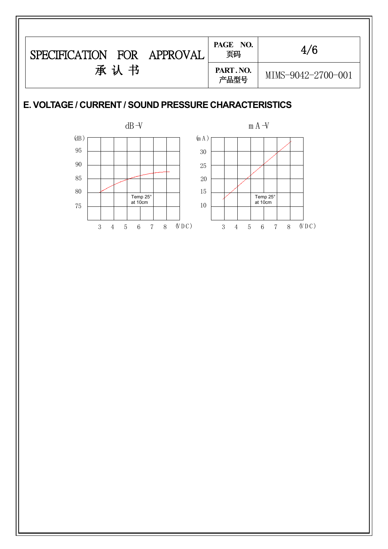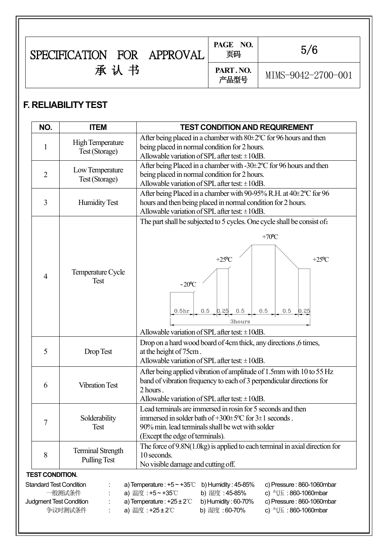| FOR<br><b>SPECIFICATION</b> | APPROVAL | PAGE NO.<br>页码   | 5/6                |  |
|-----------------------------|----------|------------------|--------------------|--|
| 书<br>承<br>认                 |          | PART.NO.<br>产品型号 | MIMS-9042-2700-001 |  |

#### **F. RELIABILITYTEST**

|   | <b>ITEM</b>                               | <b>TEST CONDITION AND REQUIREMENT</b>                                                                                                                                                                                                                                                         |
|---|-------------------------------------------|-----------------------------------------------------------------------------------------------------------------------------------------------------------------------------------------------------------------------------------------------------------------------------------------------|
|   | <b>High Temperature</b><br>Test (Storage) | After being placed in a chamber with 80±2°C for 96 hours and then<br>being placed in normal condition for 2 hours.<br>Allowable variation of SPL after test: $\pm 10$ dB.                                                                                                                     |
| 2 | Low Temperature<br>Test (Storage)         | After being Placed in a chamber with -30±2°C for 96 hours and then<br>being placed in normal condition for 2 hours.<br>Allowable variation of SPL after test: $\pm 10$ dB.                                                                                                                    |
| 3 | <b>Humidity Test</b>                      | After being Placed in a chamber with 90-95% R.H. at 40±2°C for 96<br>hours and then being placed in normal condition for 2 hours.<br>Allowable variation of SPL after test: $\pm 10$ dB.                                                                                                      |
| 4 | Temperature Cycle<br>Test                 | The part shall be subjected to 5 cycles. One cycle shall be consist of:<br>$+70$ <sup>o</sup> C<br>$+25$ <sup>o</sup> C<br>$+25$ <sup>o</sup> C<br>$-20^{\circ}$ C<br>$0.5$ 0.25<br>0.5<br>0.5<br>0.5<br>0.5 <sub>hr</sub><br>0.25<br>3hours<br>Allowable variation of SPL after test: ±10dB. |
| 5 | Drop Test                                 | Drop on a hard wood board of 4cm thick, any directions, 6 times,<br>at the height of 75cm.<br>Allowable variation of SPL after test: $\pm 10$ dB.                                                                                                                                             |
| 6 | <b>Vibration Test</b>                     | After being applied vibration of amplitude of 1.5mm with 10 to 55 Hz<br>band of vibration frequency to each of 3 perpendicular directions for<br>2 hours.<br>Allowable variation of SPL after test: $\pm 10$ dB.                                                                              |
| 7 | Solderability<br>Test                     | Lead terminals are immersed in rosin for 5 seconds and then<br>immersed in solder bath of $+300 \pm 5$ °C for $3 \pm 1$ seconds.<br>90% min. lead terminals shall be wet with solder<br>(Except the edge of terminals).                                                                       |
|   | <b>Terminal Strength</b>                  | The force of 9.8N(1.0kg) is applied to each terminal in axial direction for<br>10 seconds.                                                                                                                                                                                                    |